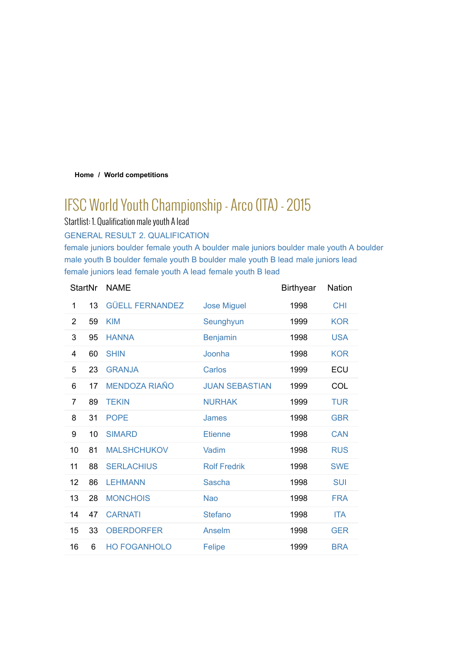### **Home / World competitions**

# IFSC World Youth Championship - Arco (ITA) - 2015

Startlist: 1. Qualification male youth A lead

GENERAL RESULT 2. QUALIFICATION

female juniors boulder female youth A boulder male juniors boulder male youth A boulder male youth B boulder female youth B boulder male youth B lead male juniors lead female juniors lead female youth A lead female youth B lead

|                | <b>StartNr</b> | <b>NAME</b>                                  |                       | <b>Birthyear</b> | <b>Nation</b> |
|----------------|----------------|----------------------------------------------|-----------------------|------------------|---------------|
| 1              | 13             | <b>GÜELL FERNANDEZ</b><br><b>Jose Miguel</b> |                       | 1998             | <b>CHI</b>    |
| $\overline{2}$ | 59             | <b>KIM</b>                                   | Seunghyun             | 1999             | <b>KOR</b>    |
| 3              | 95             | <b>HANNA</b>                                 | <b>Benjamin</b>       | 1998             | <b>USA</b>    |
| 4              | 60             | <b>SHIN</b>                                  | Joonha                | 1998             | <b>KOR</b>    |
| 5              | 23             | <b>GRANJA</b>                                | Carlos                | 1999             | ECU           |
| 6              | 17             | <b>MENDOZA RIAÑO</b>                         | <b>JUAN SEBASTIAN</b> | 1999             | <b>COL</b>    |
| 7              | 89             | <b>TEKIN</b>                                 | <b>NURHAK</b>         | 1999             | <b>TUR</b>    |
| 8              | 31             | <b>POPE</b>                                  | James                 | 1998             | <b>GBR</b>    |
| 9              | 10             | <b>SIMARD</b>                                | <b>Etienne</b>        | 1998             | <b>CAN</b>    |
| 10             | 81             | <b>MALSHCHUKOV</b>                           | Vadim                 | 1998             | <b>RUS</b>    |
| 11             | 88             | <b>SERLACHIUS</b>                            | <b>Rolf Fredrik</b>   | 1998             | <b>SWE</b>    |
| 12             | 86             | <b>LEHMANN</b>                               | <b>Sascha</b>         | 1998             | <b>SUI</b>    |
| 13             | 28             | <b>MONCHOIS</b>                              | <b>Nao</b>            | 1998             | <b>FRA</b>    |
| 14             | 47             | <b>CARNATI</b>                               | <b>Stefano</b>        | 1998             | <b>ITA</b>    |
| 15             | 33             | <b>OBERDORFER</b>                            | Anselm                | 1998             | <b>GER</b>    |
| 16             | 6              | <b>HO FOGANHOLO</b>                          | <b>Felipe</b>         | 1999             | <b>BRA</b>    |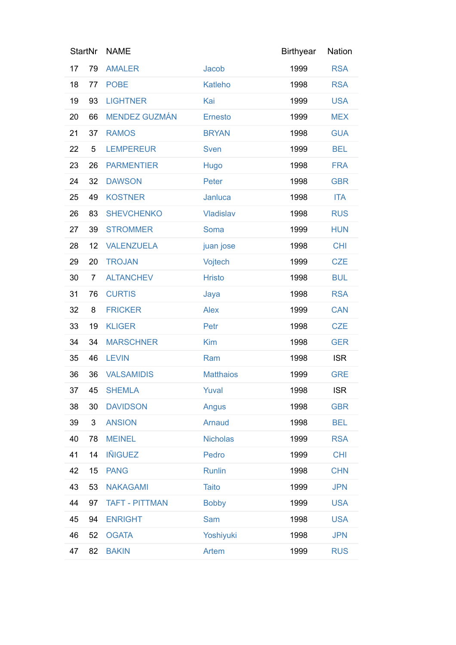| <b>StartNr</b> |                | <b>NAME</b>            |                  | <b>Birthyear</b> | <b>Nation</b> |
|----------------|----------------|------------------------|------------------|------------------|---------------|
| 17             | 79             | <b>AMALER</b><br>Jacob |                  | 1999             | <b>RSA</b>    |
| 18             | 77             | <b>POBE</b>            | Katleho          | 1998             | <b>RSA</b>    |
| 19             | 93             | <b>LIGHTNER</b>        | Kai              | 1999             | <b>USA</b>    |
| 20             | 66             | <b>MENDEZ GUZMÁN</b>   | Ernesto          | 1999             | <b>MEX</b>    |
| 21             | 37             | <b>RAMOS</b>           | <b>BRYAN</b>     | 1998             | <b>GUA</b>    |
| 22             | 5              | <b>LEMPEREUR</b>       | <b>Sven</b>      | 1999             | <b>BEL</b>    |
| 23             | 26             | <b>PARMENTIER</b>      | Hugo             | 1998             | <b>FRA</b>    |
| 24             | 32             | <b>DAWSON</b>          | Peter            | 1998             | <b>GBR</b>    |
| 25             | 49             | <b>KOSTNER</b>         | Janluca          | 1998             | <b>ITA</b>    |
| 26             | 83             | <b>SHEVCHENKO</b>      | <b>Vladislav</b> | 1998             | <b>RUS</b>    |
| 27             | 39             | <b>STROMMER</b>        | Soma             | 1999             | <b>HUN</b>    |
| 28             | 12             | <b>VALENZUELA</b>      | juan jose        | 1998             | <b>CHI</b>    |
| 29             | 20             | <b>TROJAN</b>          | Vojtech          | 1999             | <b>CZE</b>    |
| 30             | $\overline{7}$ | <b>ALTANCHEV</b>       | <b>Hristo</b>    | 1998             | <b>BUL</b>    |
| 31             | 76             | <b>CURTIS</b>          | Jaya             | 1998             | <b>RSA</b>    |
| 32             | 8              | <b>FRICKER</b>         | <b>Alex</b>      | 1999             | <b>CAN</b>    |
| 33             | 19             | <b>KLIGER</b>          | Petr             | 1998             | <b>CZE</b>    |
| 34             | 34             | <b>MARSCHNER</b>       | <b>Kim</b>       | 1998             | <b>GER</b>    |
| 35             | 46             | <b>LEVIN</b>           | Ram              | 1998             | <b>ISR</b>    |
| 36             | 36             | <b>VALSAMIDIS</b>      | <b>Matthaios</b> | 1999             | <b>GRE</b>    |
| 37             | 45             | <b>SHEMLA</b>          | Yuval            | 1998             | <b>ISR</b>    |
| 38             | 30             | <b>DAVIDSON</b>        | Angus            | 1998             | <b>GBR</b>    |
| 39             | 3              | <b>ANSION</b>          | <b>Arnaud</b>    | 1998             | <b>BEL</b>    |
| 40             | 78             | <b>MEINEL</b>          | <b>Nicholas</b>  | 1999             | <b>RSA</b>    |
| 41             | 14             | <b>IÑIGUEZ</b>         | Pedro            | 1999             | <b>CHI</b>    |
| 42             | 15             | <b>PANG</b>            | <b>Runlin</b>    | 1998             | <b>CHN</b>    |
| 43             | 53             | <b>NAKAGAMI</b>        | <b>Taito</b>     | 1999             | <b>JPN</b>    |
| 44             | 97             | <b>TAFT - PITTMAN</b>  | <b>Bobby</b>     | 1999             | <b>USA</b>    |
| 45             | 94             | <b>ENRIGHT</b>         | <b>Sam</b>       | 1998             | <b>USA</b>    |
| 46             | 52             | <b>OGATA</b>           | Yoshiyuki        | 1998             | <b>JPN</b>    |
| 47             | 82             | <b>BAKIN</b>           | <b>Artem</b>     | 1999             | <b>RUS</b>    |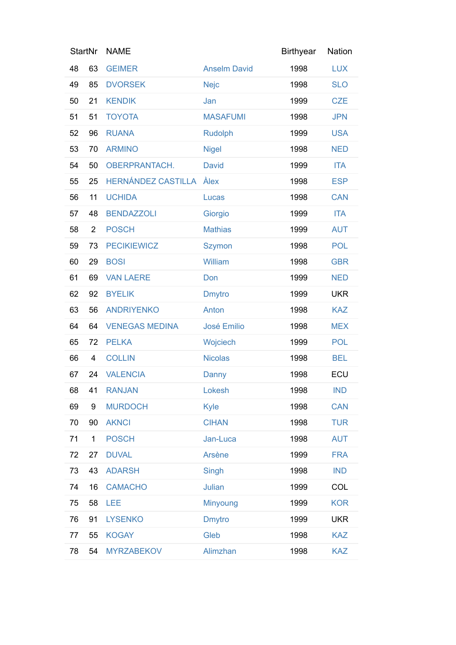| <b>StartNr</b> |                         | <b>NAME</b>                          |                    | <b>Birthyear</b> | Nation     |
|----------------|-------------------------|--------------------------------------|--------------------|------------------|------------|
| 48             | 63                      | <b>GEIMER</b><br><b>Anselm David</b> |                    | 1998             | <b>LUX</b> |
| 49             | 85                      | <b>DVORSEK</b><br><b>Nejc</b>        |                    | 1998             | <b>SLO</b> |
| 50             | 21                      | <b>KENDIK</b>                        | Jan                | 1999             | <b>CZE</b> |
| 51             | 51                      | <b>TOYOTA</b>                        | <b>MASAFUMI</b>    | 1998             | <b>JPN</b> |
| 52             | 96                      | <b>RUANA</b>                         | <b>Rudolph</b>     | 1999             | <b>USA</b> |
| 53             | 70                      | <b>ARMINO</b>                        | <b>Nigel</b>       | 1998             | <b>NED</b> |
| 54             | 50                      | OBERPRANTACH.                        | <b>David</b>       | 1999             | <b>ITA</b> |
| 55             | 25                      | HERNÁNDEZ CASTILLA Àlex              |                    | 1998             | <b>ESP</b> |
| 56             | 11                      | <b>UCHIDA</b>                        | Lucas              | 1998             | <b>CAN</b> |
| 57             | 48                      | <b>BENDAZZOLI</b>                    | Giorgio            | 1999             | <b>ITA</b> |
| 58             | $\overline{2}$          | <b>POSCH</b>                         | <b>Mathias</b>     | 1999             | <b>AUT</b> |
| 59             | 73                      | <b>PECIKIEWICZ</b>                   | <b>Szymon</b>      | 1998             | <b>POL</b> |
| 60             | 29                      | <b>BOSI</b>                          | <b>William</b>     | 1998             | <b>GBR</b> |
| 61             | 69                      | <b>VAN LAERE</b>                     | Don                | 1999             | <b>NED</b> |
| 62             | 92                      | <b>BYELIK</b>                        | <b>Dmytro</b>      | 1999             | <b>UKR</b> |
| 63             | 56                      | <b>ANDRIYENKO</b>                    | Anton              | 1998             | <b>KAZ</b> |
| 64             | 64                      | <b>VENEGAS MEDINA</b>                | <b>José Emilio</b> | 1998             | <b>MEX</b> |
| 65             | 72                      | <b>PELKA</b>                         | Wojciech           | 1999             | <b>POL</b> |
| 66             | $\overline{\mathbf{4}}$ | <b>COLLIN</b>                        | <b>Nicolas</b>     | 1998             | <b>BEL</b> |
| 67             | 24                      | <b>VALENCIA</b>                      | Danny              | 1998             | ECU        |
| 68             | 41                      | <b>RANJAN</b>                        | Lokesh             | 1998             | <b>IND</b> |
| 69             | 9                       | <b>MURDOCH</b>                       | <b>Kyle</b>        | 1998             | <b>CAN</b> |
| 70             | 90                      | <b>AKNCI</b>                         | <b>CIHAN</b>       | 1998             | <b>TUR</b> |
| 71             | 1                       | <b>POSCH</b>                         | Jan-Luca           | 1998             | <b>AUT</b> |
| 72             | 27                      | <b>DUVAL</b>                         | <b>Arsène</b>      | 1999             | <b>FRA</b> |
| 73             | 43                      | <b>ADARSH</b>                        | Singh              | 1998             | <b>IND</b> |
| 74             | 16                      | <b>CAMACHO</b>                       | Julian             | 1999             | COL        |
| 75             | 58                      | LEE                                  | <b>Minyoung</b>    | 1999             | <b>KOR</b> |
| 76             | 91                      | <b>LYSENKO</b>                       | <b>Dmytro</b>      | 1999             | <b>UKR</b> |
| 77             | 55                      | <b>KOGAY</b>                         | Gleb               | 1998             | <b>KAZ</b> |
| 78             | 54                      | <b>MYRZABEKOV</b>                    | Alimzhan           | 1998             | <b>KAZ</b> |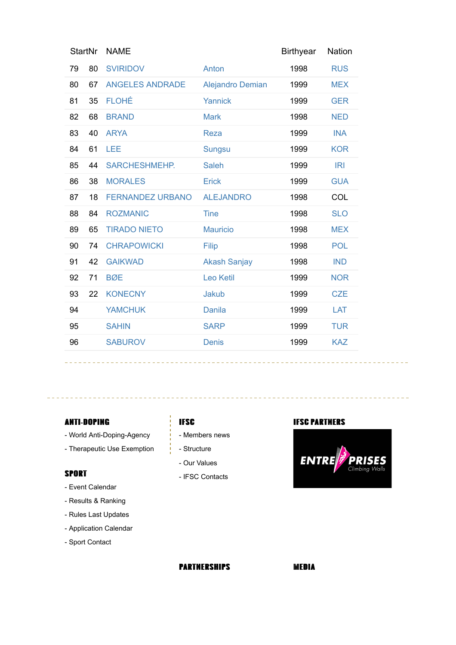| <b>StartNr</b> |    | <b>NAME</b>             |                         | <b>Birthyear</b> | <b>Nation</b> |
|----------------|----|-------------------------|-------------------------|------------------|---------------|
| 79             | 80 | <b>SVIRIDOV</b>         | Anton                   | 1998             | <b>RUS</b>    |
| 80             | 67 | <b>ANGELES ANDRADE</b>  | <b>Alejandro Demian</b> | 1999             | <b>MEX</b>    |
| 81             | 35 | <b>FLOHÉ</b>            | Yannick                 | 1999             | <b>GER</b>    |
| 82             | 68 | <b>BRAND</b>            | <b>Mark</b>             | 1998             | <b>NED</b>    |
| 83             | 40 | <b>ARYA</b>             | <b>Reza</b>             | 1999             | <b>INA</b>    |
| 84             | 61 | LEE                     | <b>Sungsu</b>           | 1999             | <b>KOR</b>    |
| 85             | 44 | <b>SARCHESHMEHP.</b>    | <b>Saleh</b>            | 1999             | IRI           |
| 86             | 38 | <b>MORALES</b>          | <b>Erick</b>            | 1999             | <b>GUA</b>    |
| 87             | 18 | <b>FERNANDEZ URBANO</b> | <b>ALEJANDRO</b>        | 1998             | <b>COL</b>    |
| 88             | 84 | <b>ROZMANIC</b>         | <b>Tine</b>             | 1998             | <b>SLO</b>    |
| 89             | 65 | <b>TIRADO NIETO</b>     | <b>Mauricio</b>         | 1998             | <b>MEX</b>    |
| 90             | 74 | <b>CHRAPOWICKI</b>      | Filip                   | 1998             | <b>POL</b>    |
| 91             | 42 | <b>GAIKWAD</b>          | <b>Akash Sanjay</b>     | 1998             | <b>IND</b>    |
| 92             | 71 | <b>BØE</b>              | <b>Leo Ketil</b>        | 1999             | <b>NOR</b>    |
| 93             | 22 | <b>KONECNY</b>          | <b>Jakub</b>            | 1999             | <b>CZE</b>    |
| 94             |    | <b>YAMCHUK</b>          | <b>Danila</b>           | 1999             | LAT           |
| 95             |    | <b>SAHIN</b>            | <b>SARP</b>             | 1999             | <b>TUR</b>    |
| 96             |    | <b>SABUROV</b>          | <b>Denis</b>            | 1999             | <b>KAZ</b>    |
|                |    |                         |                         |                  |               |

## **ANTI-DOPING**

- World Anti-Doping-Agency
- Therapeutic Use Exemption

# **SPORT**

- Event Calendar
- Results & Ranking
- Rules Last Updates
- Application Calendar
- Sport Contact

## **IFSC**

- Members news
- $\frac{1}{1}$  Structure
	- Our Values
	- IFSC Contacts

#### **IFSC PARTHERS**

<u>o dia dia dia 4</u>

 $\sim$   $-$ 

<u>. . . . . . . . . . . . . . . .</u>



# **PARTMERSHIPS**

**MEDIA**